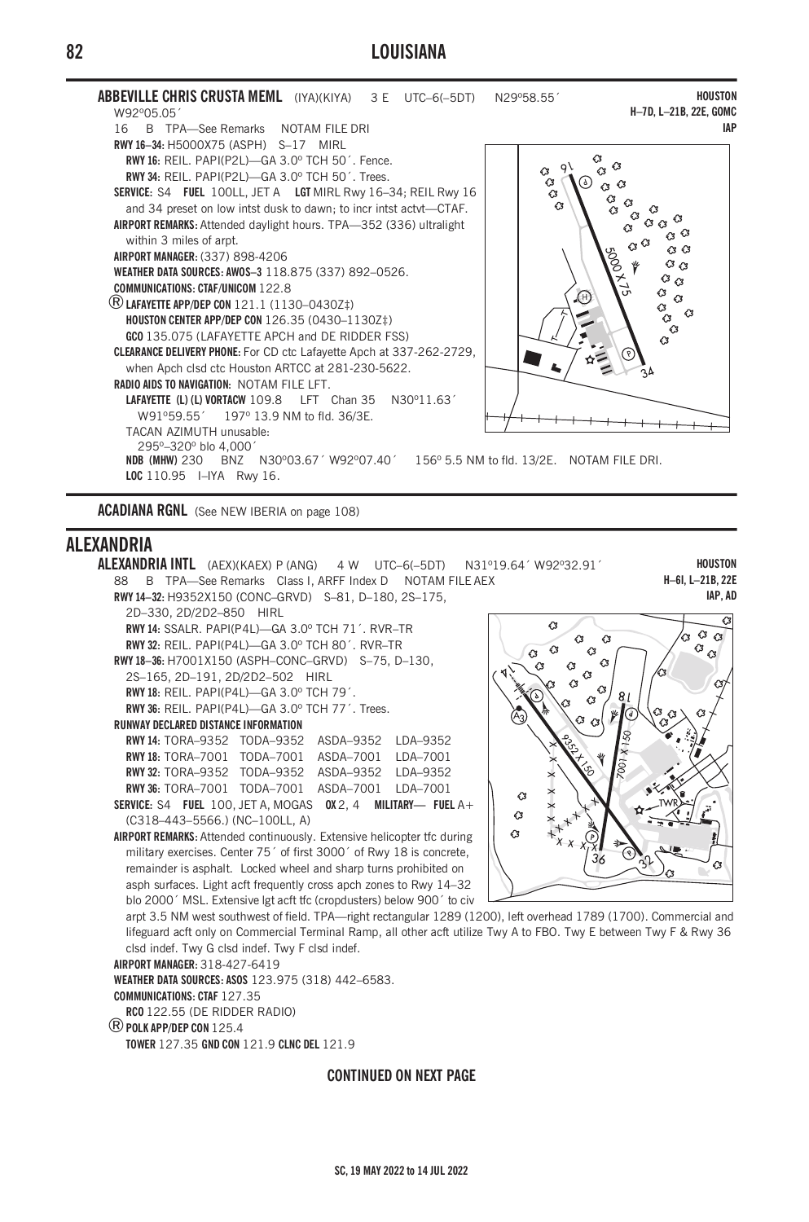## LOUISIANA



ACADIANA RGNL (See NEW IBERIA on page 108)

## **AI FXANDRIA**



## **CONTINUED ON NEXT PAGE**